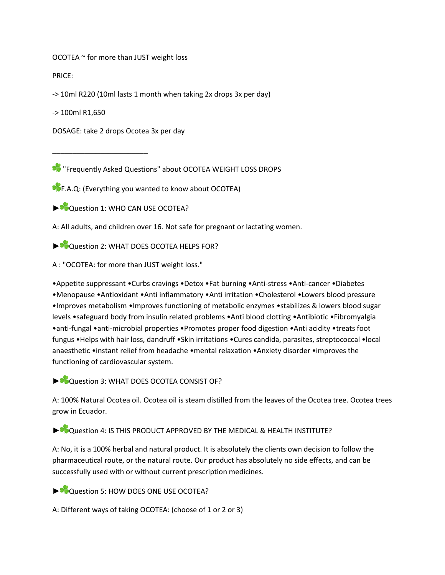OCOTEA ~ for more than JUST weight loss

PRICE:

-> 10ml R220 (10ml lasts 1 month when taking 2x drops 3x per day)

-> 100ml R1,650

DOSAGE: take 2 drops Ocotea 3x per day

\_\_\_\_\_\_\_\_\_\_\_\_\_\_\_\_\_\_\_\_\_\_\_\_

**\*** "Frequently Asked Questions" about OCOTEA WEIGHT LOSS DROPS

**PF.A.Q: (Everything you wanted to know about OCOTEA)** 

► Question 1: WHO CAN USE OCOTEA?

A: All adults, and children over 16. Not safe for pregnant or lactating women.

► Cuestion 2: WHAT DOES OCOTEA HELPS FOR?

A : "OCOTEA: for more than JUST weight loss."

•Appetite suppressant •Curbs cravings •Detox •Fat burning •Anti-stress •Anti-cancer •Diabetes •Menopause •Antioxidant •Anti inflammatory •Anti irritation •Cholesterol •Lowers blood pressure •Improves metabolism •Improves functioning of metabolic enzymes •stabilizes & lowers blood sugar levels •safeguard body from insulin related problems •Anti blood clotting •Antibiotic •Fibromyalgia •anti-fungal •anti-microbial properties •Promotes proper food digestion •Anti acidity •treats foot fungus •Helps with hair loss, dandruff •Skin irritations •Cures candida, parasites, streptococcal •local anaesthetic •instant relief from headache •mental relaxation •Anxiety disorder •improves the functioning of cardiovascular system.

► ©Question 3: WHAT DOES OCOTEA CONSIST OF?

A: 100% Natural Ocotea oil. Ocotea oil is steam distilled from the leaves of the Ocotea tree. Ocotea trees grow in Ecuador.

► Question 4: IS THIS PRODUCT APPROVED BY THE MEDICAL & HEALTH INSTITUTE?

A: No, it is a 100% herbal and natural product. It is absolutely the clients own decision to follow the pharmaceutical route, or the natural route. Our product has absolutely no side effects, and can be successfully used with or without current prescription medicines.

► Cuestion 5: HOW DOES ONE USE OCOTEA?

A: Different ways of taking OCOTEA: (choose of 1 or 2 or 3)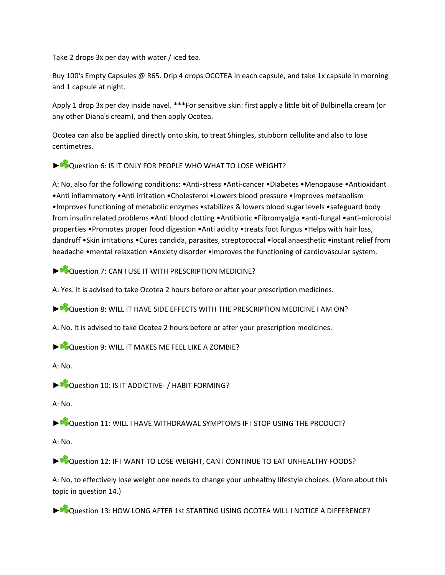Take 2 drops 3x per day with water / iced tea.

Buy 100's Empty Capsules @ R65. Drip 4 drops OCOTEA in each capsule, and take 1x capsule in morning and 1 capsule at night.

Apply 1 drop 3x per day inside navel. \*\*\*For sensitive skin: first apply a little bit of Bulbinella cream (or any other Diana's cream), and then apply Ocotea.

Ocotea can also be applied directly onto skin, to treat Shingles, stubborn cellulite and also to lose centimetres.

► Question 6: IS IT ONLY FOR PEOPLE WHO WHAT TO LOSE WEIGHT?

A: No, also for the following conditions: •Anti-stress •Anti-cancer •Diabetes •Menopause •Antioxidant •Anti inflammatory •Anti irritation •Cholesterol •Lowers blood pressure •Improves metabolism •Improves functioning of metabolic enzymes •stabilizes & lowers blood sugar levels •safeguard body from insulin related problems •Anti blood clotting •Antibiotic •Fibromyalgia •anti-fungal •anti-microbial properties •Promotes proper food digestion •Anti acidity •treats foot fungus •Helps with hair loss, dandruff •Skin irritations •Cures candida, parasites, streptococcal •local anaesthetic •instant relief from headache •mental relaxation •Anxiety disorder •improves the functioning of cardiovascular system.

► Question 7: CAN I USE IT WITH PRESCRIPTION MEDICINE?

A: Yes. It is advised to take Ocotea 2 hours before or after your prescription medicines.

► Cuestion 8: WILL IT HAVE SIDE EFFECTS WITH THE PRESCRIPTION MEDICINE I AM ON?

A: No. It is advised to take Ocotea 2 hours before or after your prescription medicines.

► Cuestion 9: WILL IT MAKES ME FEEL LIKE A ZOMBIE?

A: No.

► Question 10: IS IT ADDICTIVE- / HABIT FORMING?

A: No.

► Cuestion 11: WILL I HAVE WITHDRAWAL SYMPTOMS IF I STOP USING THE PRODUCT?

 $A: No.$ 

► Question 12: IF I WANT TO LOSE WEIGHT, CAN I CONTINUE TO EAT UNHEALTHY FOODS?

A: No, to effectively lose weight one needs to change your unhealthy lifestyle choices. (More about this topic in question 14.)

► Question 13: HOW LONG AFTER 1st STARTING USING OCOTEA WILL I NOTICE A DIFFERENCE?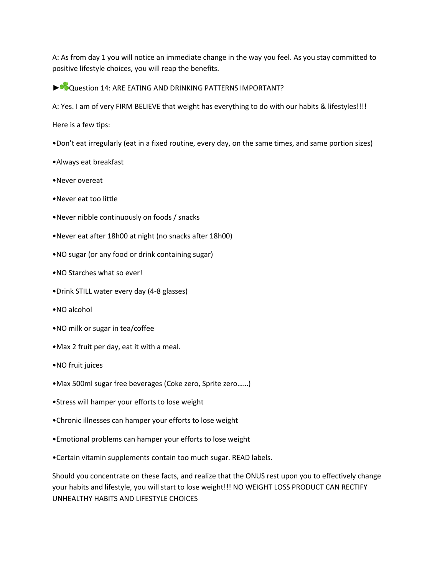A: As from day 1 you will notice an immediate change in the way you feel. As you stay committed to positive lifestyle choices, you will reap the benefits.

▶ Question 14: ARE EATING AND DRINKING PATTERNS IMPORTANT?

A: Yes. I am of very FIRM BELIEVE that weight has everything to do with our habits & lifestyles!!!!

Here is a few tips:

- •Don't eat irregularly (eat in a fixed routine, every day, on the same times, and same portion sizes)
- •Always eat breakfast
- •Never overeat
- •Never eat too little
- •Never nibble continuously on foods / snacks
- •Never eat after 18h00 at night (no snacks after 18h00)
- •NO sugar (or any food or drink containing sugar)
- •NO Starches what so ever!
- •Drink STILL water every day (4-8 glasses)
- •NO alcohol
- •NO milk or sugar in tea/coffee
- •Max 2 fruit per day, eat it with a meal.
- •NO fruit juices
- •Max 500ml sugar free beverages (Coke zero, Sprite zero……)
- •Stress will hamper your efforts to lose weight
- •Chronic illnesses can hamper your efforts to lose weight
- •Emotional problems can hamper your efforts to lose weight
- •Certain vitamin supplements contain too much sugar. READ labels.

Should you concentrate on these facts, and realize that the ONUS rest upon you to effectively change your habits and lifestyle, you will start to lose weight!!! NO WEIGHT LOSS PRODUCT CAN RECTIFY UNHEALTHY HABITS AND LIFESTYLE CHOICES